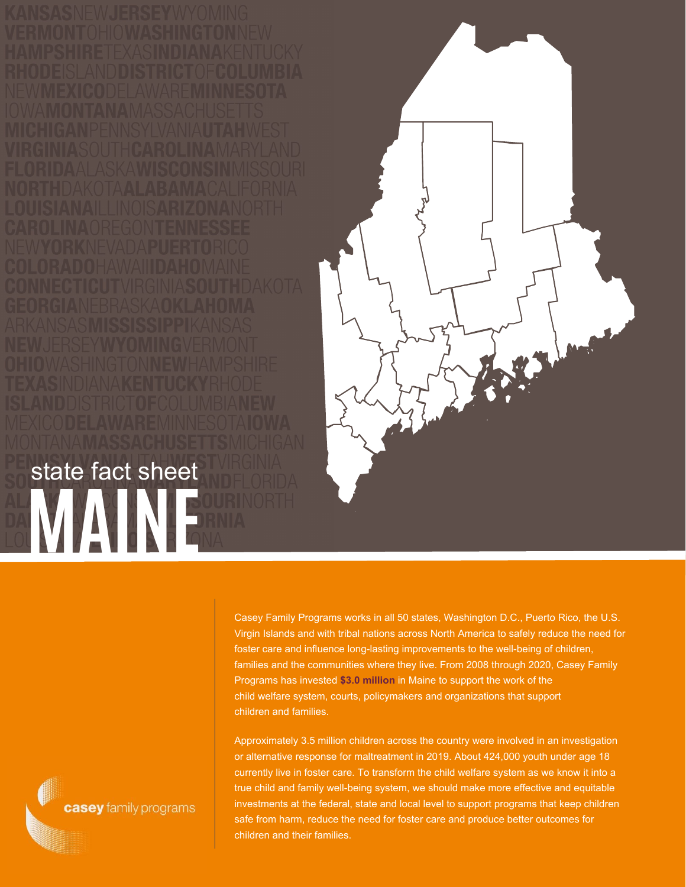**MAINE SOURI** state fact sheet



Casey Family Programs works in all 50 states, Washington D.C., Puerto Rico, the U.S. Virgin Islands and with tribal nations across North America to safely reduce the need for foster care and influence long-lasting improvements to the well-being of children, families and the communities where they live. From 2008 through 2020, Casey Family Programs has invested **\$3.0 million** in Maine to support the work of the child welfare system, courts, policymakers and organizations that support children and families.

Approximately 3.5 million children across the country were involved in an investigation or alternative response for maltreatment in 2019. About 424,000 youth under age 18 currently live in foster care. To transform the child welfare system as we know it into a true child and family well-being system, we should make more effective and equitable investments at the federal, state and local level to support programs that keep children safe from harm, reduce the need for foster care and produce better outcomes for children and their families.

casey family programs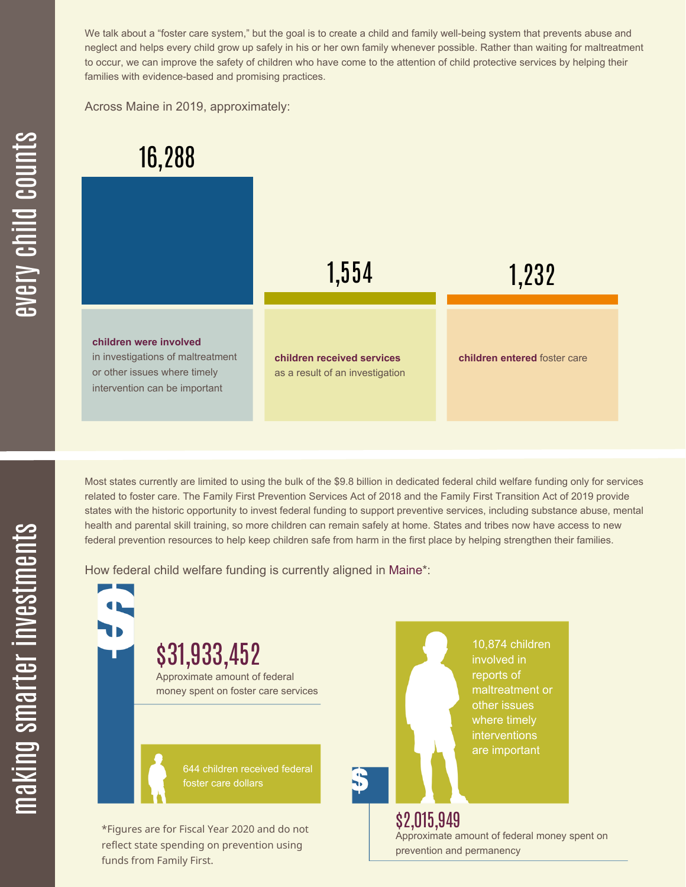We talk about a "foster care system," but the goal is to create a child and family well-being system that prevents abuse and neglect and helps every child grow up safely in his or her own family whenever possible. Rather than waiting for maltreatment to occur, we can improve the safety of children who have come to the attention of child protective services by helping their families with evidence-based and promising practices.

Across Maine in 2019, approximately:



Most states currently are limited to using the bulk of the \$9.8 billion in dedicated federal child welfare funding only for services related to foster care. The Family First Prevention Services Act of 2018 and the Family First Transition Act of 2019 provide states with the historic opportunity to invest federal funding to support preventive services, including substance abuse, mental health and parental skill training, so more children can remain safely at home. States and tribes now have access to new federal prevention resources to help keep children safe from harm in the first place by helping strengthen their families.

How federal child welfare funding is currently aligned in Maine\*:

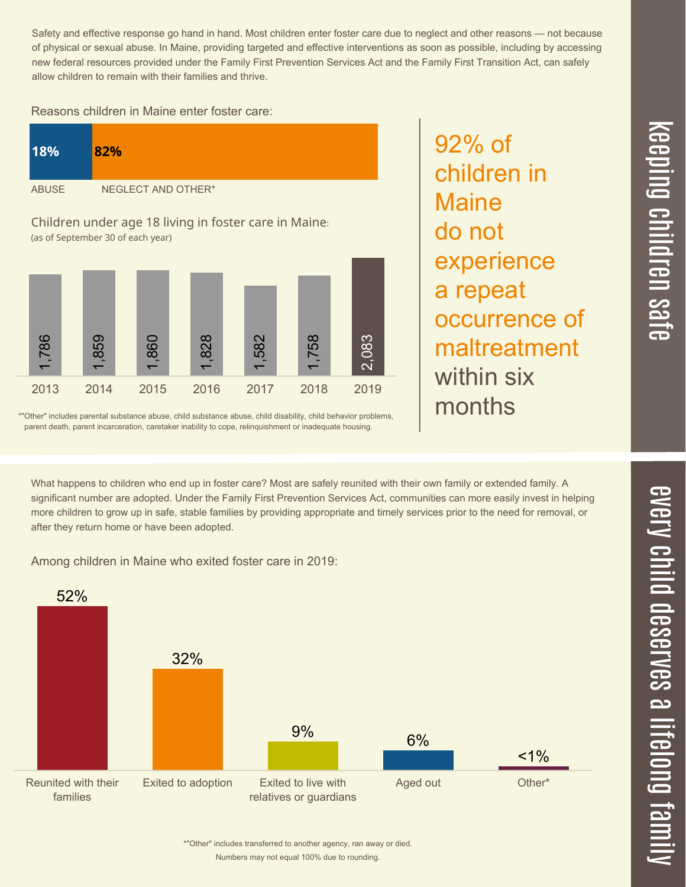$\overline{\phantom{1}}$  $\overline{\mathbf \Theta}$  $\overline{\mathbf{C}}$ <u>pin</u>  $\overline{\mathbf{C}}$  $\overline{\mathbf{C}}$  $\equiv$  $\overline{\mathbf{c}}$  $\overline{\phantom{0}}$  $\boldsymbol{\mathcal{O}}$ a  $\overrightarrow{\mathbf{e}}$ 

Safety and effective response go hand in hand. Most children enter foster care due to neglect and other reasons — not because of physical or sexual abuse. In Maine, providing targeted and effective interventions as soon as possible, including by accessing new federal resources provided under the Family First Prevention Services Act and the Family First Transition Act, can safely allow children to remain with their families and thrive.

92% of

**Maine** 

do not

children in

experience

occurrence of

maltreatment

a repeat

within six

months

## Reasons children in Maine enter foster care:

| <b>18%</b>                                                                                 | 82%                |
|--------------------------------------------------------------------------------------------|--------------------|
| <b>ABUSE</b>                                                                               | NEGLECT AND OTHER* |
| Children under age 18 living in foster care in Maine:<br>(as of September 30 of each year) |                    |



\*"Other" includes parental substance abuse, child substance abuse, child disability, child behavior problems, parent death, parent incarceration, caretaker inability to cope, relinquishment or inadequate housing.

What happens to children who end up in foster care? Most are safely reunited with their own family or extended family. A significant number are adopted. Under the Family First Prevention Services Act, communities can more easily invest in helping more children to grow up in safe, stable families by providing appropriate and timely services prior to the need for removal, or after they return home or have been adopted.

Among children in Maine who exited foster care in 2019:



Numbers may not equal 100% due to rounding. \*"Other" includes transferred to another agency, ran away or died.

 $\overline{\mathbf{C}}$  $\overline{\mathsf{Z}}$  $\overline{\mathbf{C}}$  $\equiv$  $\blacksquare$ e  $\boldsymbol{\mathcal{C}}$  $\overline{\mathbf{C}}$  $\overline{\phantom{a}}$  $\overline{\mathbf{C}}$  $\mathcal{C}$ <u>م</u>  $\equiv$ el<br>O  $\overline{\phantom{0}}$  $\blacksquare$ t<br>B mily

 $\overline{\mathbf{C}}$  $\leq$